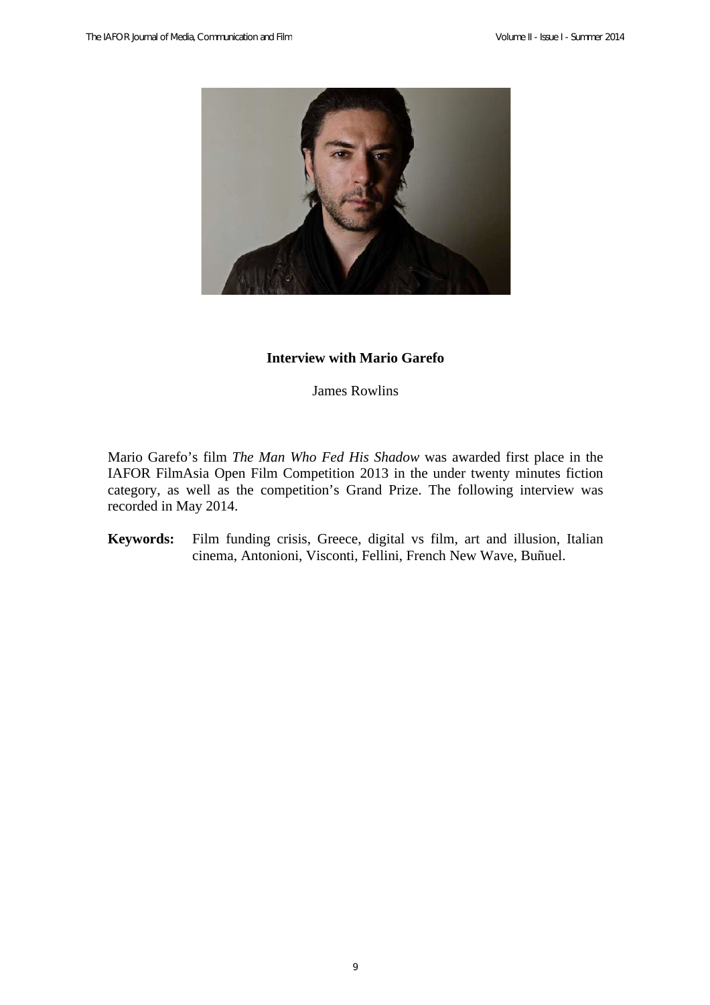

### **Interview with Mario Garefo**

James Rowlins

Mario Garefo's film *The Man Who Fed His Shadow* was awarded first place in the IAFOR FilmAsia Open Film Competition 2013 in the under twenty minutes fiction category, as well as the competition's Grand Prize. The following interview was recorded in May 2014.

**Keywords:** Film funding crisis, Greece, digital vs film, art and illusion, Italian cinema, Antonioni, Visconti, Fellini, French New Wave, Buñuel.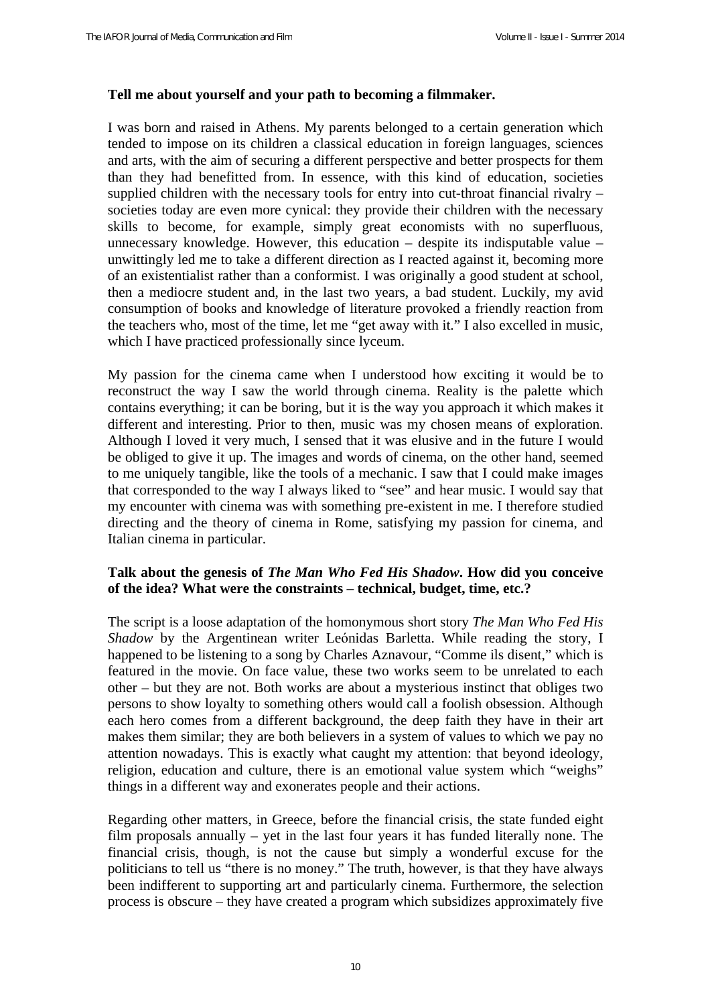### **Tell me about yourself and your path to becoming a filmmaker.**

I was born and raised in Athens. My parents belonged to a certain generation which tended to impose on its children a classical education in foreign languages, sciences and arts, with the aim of securing a different perspective and better prospects for them than they had benefitted from. In essence, with this kind of education, societies supplied children with the necessary tools for entry into cut-throat financial rivalry – societies today are even more cynical: they provide their children with the necessary skills to become, for example, simply great economists with no superfluous, unnecessary knowledge. However, this education – despite its indisputable value – unwittingly led me to take a different direction as I reacted against it, becoming more of an existentialist rather than a conformist. I was originally a good student at school, then a mediocre student and, in the last two years, a bad student. Luckily, my avid consumption of books and knowledge of literature provoked a friendly reaction from the teachers who, most of the time, let me "get away with it." I also excelled in music, which I have practiced professionally since lyceum.

My passion for the cinema came when I understood how exciting it would be to reconstruct the way I saw the world through cinema. Reality is the palette which contains everything; it can be boring, but it is the way you approach it which makes it different and interesting. Prior to then, music was my chosen means of exploration. Although I loved it very much, I sensed that it was elusive and in the future I would be obliged to give it up. The images and words of cinema, on the other hand, seemed to me uniquely tangible, like the tools of a mechanic. I saw that I could make images that corresponded to the way I always liked to "see" and hear music. I would say that my encounter with cinema was with something pre-existent in me. I therefore studied directing and the theory of cinema in Rome, satisfying my passion for cinema, and Italian cinema in particular.

## **Talk about the genesis of** *The Man Who Fed His Shadow***. How did you conceive of the idea? What were the constraints – technical, budget, time, etc.?**

The script is a loose adaptation of the homonymous short story *The Man Who Fed His Shadow* by the Argentinean writer Leόnidas Barletta. While reading the story, I happened to be listening to a song by Charles Aznavour, "Comme ils disent," which is featured in the movie. On face value, these two works seem to be unrelated to each other – but they are not. Both works are about a mysterious instinct that obliges two persons to show loyalty to something others would call a foolish obsession. Although each hero comes from a different background, the deep faith they have in their art makes them similar; they are both believers in a system of values to which we pay no attention nowadays. This is exactly what caught my attention: that beyond ideology, religion, education and culture, there is an emotional value system which "weighs" things in a different way and exonerates people and their actions.

Regarding other matters, in Greece, before the financial crisis, the state funded eight film proposals annually – yet in the last four years it has funded literally none. The financial crisis, though, is not the cause but simply a wonderful excuse for the politicians to tell us "there is no money." The truth, however, is that they have always been indifferent to supporting art and particularly cinema. Furthermore, the selection process is obscure – they have created a program which subsidizes approximately five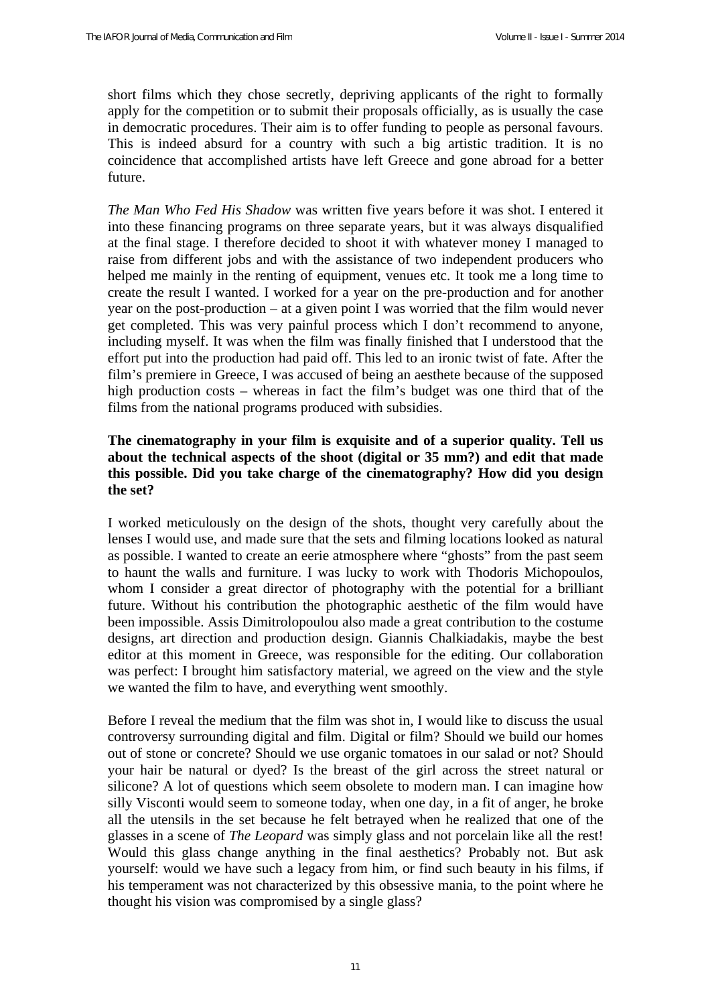short films which they chose secretly, depriving applicants of the right to formally apply for the competition or to submit their proposals officially, as is usually the case in democratic procedures. Their aim is to offer funding to people as personal favours. This is indeed absurd for a country with such a big artistic tradition. It is no coincidence that accomplished artists have left Greece and gone abroad for a better future.

*The Man Who Fed His Shadow* was written five years before it was shot. I entered it into these financing programs on three separate years, but it was always disqualified at the final stage. I therefore decided to shoot it with whatever money I managed to raise from different jobs and with the assistance of two independent producers who helped me mainly in the renting of equipment, venues etc. It took me a long time to create the result I wanted. I worked for a year on the pre-production and for another year on the post-production – at a given point I was worried that the film would never get completed. This was very painful process which I don't recommend to anyone, including myself. It was when the film was finally finished that I understood that the effort put into the production had paid off. This led to an ironic twist of fate. After the film's premiere in Greece, I was accused of being an aesthete because of the supposed high production costs – whereas in fact the film's budget was one third that of the films from the national programs produced with subsidies.

## **The cinematography in your film is exquisite and of a superior quality. Tell us about the technical aspects of the shoot (digital or 35 mm?) and edit that made this possible. Did you take charge of the cinematography? How did you design the set?**

I worked meticulously on the design of the shots, thought very carefully about the lenses I would use, and made sure that the sets and filming locations looked as natural as possible. I wanted to create an eerie atmosphere where "ghosts" from the past seem to haunt the walls and furniture. I was lucky to work with Thodoris Michopoulos, whom I consider a great director of photography with the potential for a brilliant future. Without his contribution the photographic aesthetic of the film would have been impossible. Assis Dimitrolopoulou also made a great contribution to the costume designs, art direction and production design. Giannis Chalkiadakis, maybe the best editor at this moment in Greece, was responsible for the editing. Our collaboration was perfect: I brought him satisfactory material, we agreed on the view and the style we wanted the film to have, and everything went smoothly.

Before I reveal the medium that the film was shot in, I would like to discuss the usual controversy surrounding digital and film. Digital or film? Should we build our homes out of stone or concrete? Should we use organic tomatoes in our salad or not? Should your hair be natural or dyed? Is the breast of the girl across the street natural or silicone? A lot of questions which seem obsolete to modern man. I can imagine how silly Visconti would seem to someone today, when one day, in a fit of anger, he broke all the utensils in the set because he felt betrayed when he realized that one of the glasses in a scene of *The Leopard* was simply glass and not porcelain like all the rest! Would this glass change anything in the final aesthetics? Probably not. But ask yourself: would we have such a legacy from him, or find such beauty in his films, if his temperament was not characterized by this obsessive mania, to the point where he thought his vision was compromised by a single glass?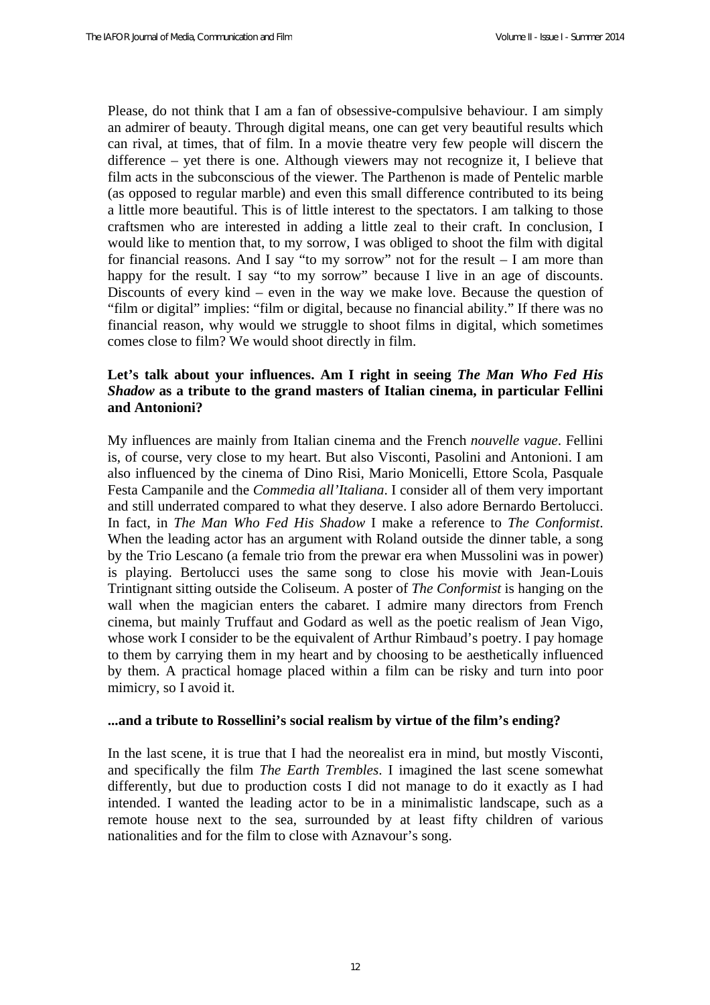Please, do not think that I am a fan of obsessive-compulsive behaviour. I am simply an admirer of beauty. Through digital means, one can get very beautiful results which can rival, at times, that of film. In a movie theatre very few people will discern the difference – yet there is one. Although viewers may not recognize it, I believe that film acts in the subconscious of the viewer. The Parthenon is made of Pentelic marble (as opposed to regular marble) and even this small difference contributed to its being a little more beautiful. This is of little interest to the spectators. I am talking to those craftsmen who are interested in adding a little zeal to their craft. In conclusion, I would like to mention that, to my sorrow, I was obliged to shoot the film with digital for financial reasons. And I say "to my sorrow" not for the result  $-$  I am more than happy for the result. I say "to my sorrow" because I live in an age of discounts. Discounts of every kind – even in the way we make love. Because the question of "film or digital" implies: "film or digital, because no financial ability." If there was no financial reason, why would we struggle to shoot films in digital, which sometimes comes close to film? We would shoot directly in film.

# **Let's talk about your influences. Am I right in seeing** *The Man Who Fed His Shadow* **as a tribute to the grand masters of Italian cinema, in particular Fellini and Antonioni?**

My influences are mainly from Italian cinema and the French *nouvelle vague*. Fellini is, of course, very close to my heart. But also Visconti, Pasolini and Antonioni. I am also influenced by the cinema of Dino Risi, Mario Monicelli, Ettore Scola, Pasquale Festa Campanile and the *Commedia all'Italiana*. I consider all of them very important and still underrated compared to what they deserve. I also adore Bernardo Bertolucci. In fact, in *The Man Who Fed His Shadow* I make a reference to *The Conformist*. When the leading actor has an argument with Roland outside the dinner table, a song by the Trio Lescano (a female trio from the prewar era when Mussolini was in power) is playing. Bertolucci uses the same song to close his movie with Jean-Louis Trintignant sitting outside the Coliseum. A poster of *The Conformist* is hanging on the wall when the magician enters the cabaret. I admire many directors from French cinema, but mainly Truffaut and Godard as well as the poetic realism of Jean Vigo, whose work I consider to be the equivalent of Arthur Rimbaud's poetry. I pay homage to them by carrying them in my heart and by choosing to be aesthetically influenced by them. A practical homage placed within a film can be risky and turn into poor mimicry, so I avoid it.

#### **...and a tribute to Rossellini's social realism by virtue of the film's ending?**

In the last scene, it is true that I had the neorealist era in mind, but mostly Visconti, and specifically the film *The Earth Trembles*. I imagined the last scene somewhat differently, but due to production costs I did not manage to do it exactly as I had intended. I wanted the leading actor to be in a minimalistic landscape, such as a remote house next to the sea, surrounded by at least fifty children of various nationalities and for the film to close with Aznavour's song.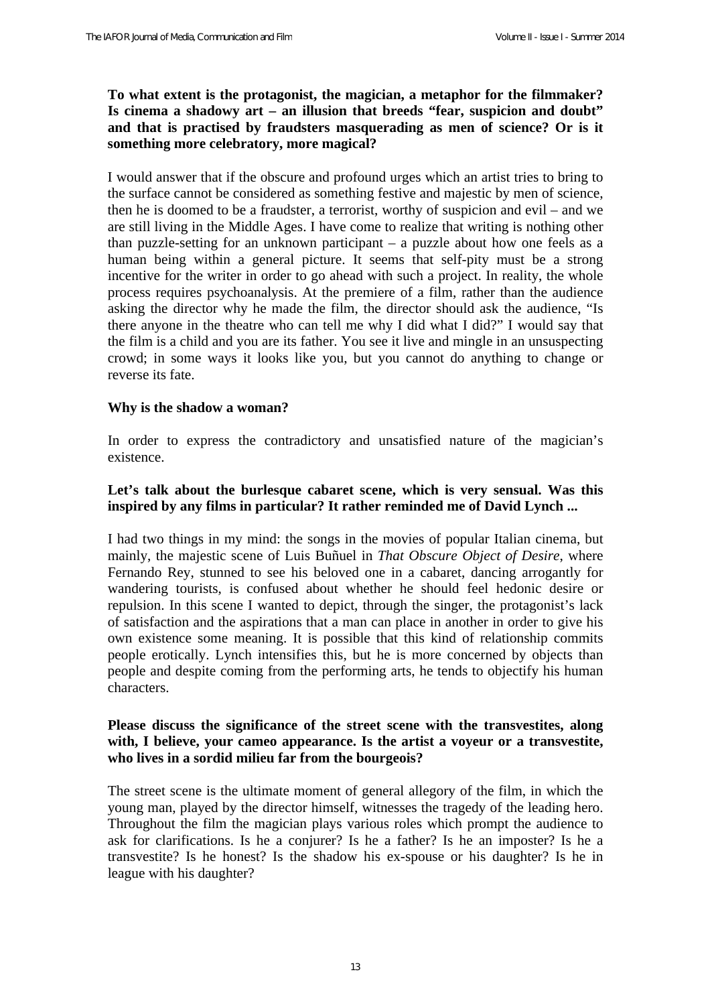## **To what extent is the protagonist, the magician, a metaphor for the filmmaker? Is cinema a shadowy art – an illusion that breeds "fear, suspicion and doubt" and that is practised by fraudsters masquerading as men of science? Or is it something more celebratory, more magical?**

I would answer that if the obscure and profound urges which an artist tries to bring to the surface cannot be considered as something festive and majestic by men of science, then he is doomed to be a fraudster, a terrorist, worthy of suspicion and evil – and we are still living in the Middle Ages. I have come to realize that writing is nothing other than puzzle-setting for an unknown participant – a puzzle about how one feels as a human being within a general picture. It seems that self-pity must be a strong incentive for the writer in order to go ahead with such a project. In reality, the whole process requires psychoanalysis. At the premiere of a film, rather than the audience asking the director why he made the film, the director should ask the audience, "Is there anyone in the theatre who can tell me why I did what I did?" I would say that the film is a child and you are its father. You see it live and mingle in an unsuspecting crowd; in some ways it looks like you, but you cannot do anything to change or reverse its fate.

#### **Why is the shadow a woman?**

In order to express the contradictory and unsatisfied nature of the magician's existence.

### Let's talk about the burlesque cabaret scene, which is very sensual. Was this **inspired by any films in particular? It rather reminded me of David Lynch ...**

I had two things in my mind: the songs in the movies of popular Italian cinema, but mainly, the majestic scene of Luis Buñuel in *That Obscure Object of Desire*, where Fernando Rey, stunned to see his beloved one in a cabaret, dancing arrogantly for wandering tourists, is confused about whether he should feel hedonic desire or repulsion. In this scene I wanted to depict, through the singer, the protagonist's lack of satisfaction and the aspirations that a man can place in another in order to give his own existence some meaning. It is possible that this kind of relationship commits people erotically. Lynch intensifies this, but he is more concerned by objects than people and despite coming from the performing arts, he tends to objectify his human characters.

### **Please discuss the significance of the street scene with the transvestites, along with, I believe, your cameo appearance. Is the artist a voyeur or a transvestite, who lives in a sordid milieu far from the bourgeois?**

The street scene is the ultimate moment of general allegory of the film, in which the young man, played by the director himself, witnesses the tragedy of the leading hero. Throughout the film the magician plays various roles which prompt the audience to ask for clarifications. Is he a conjurer? Is he a father? Is he an imposter? Is he a transvestite? Is he honest? Is the shadow his ex-spouse or his daughter? Is he in league with his daughter?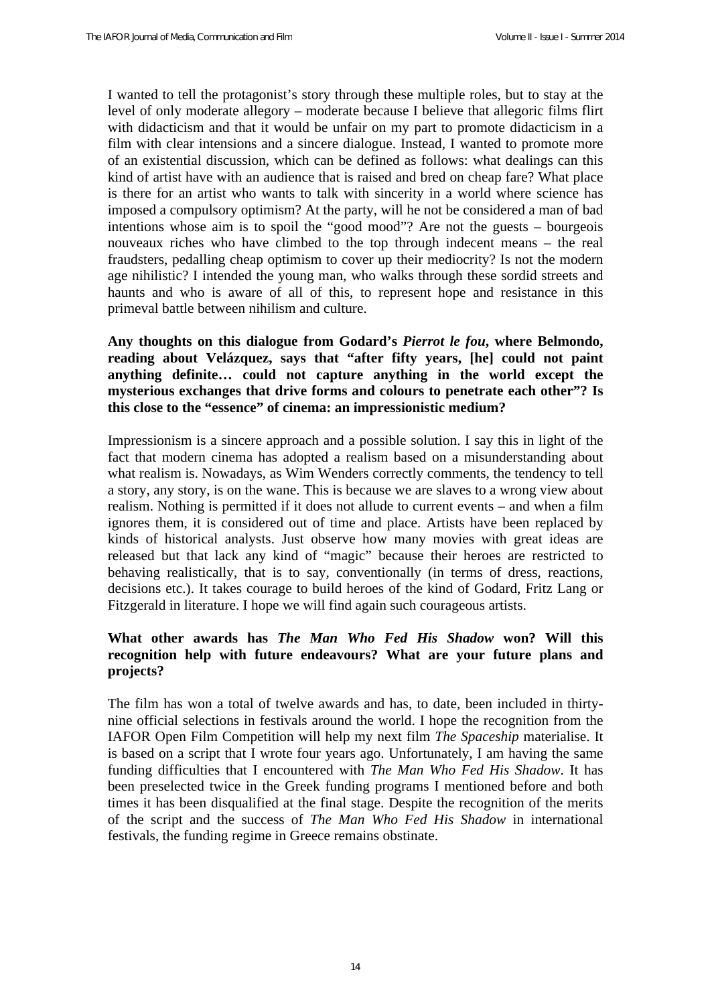I wanted to tell the protagonist's story through these multiple roles, but to stay at the level of only moderate allegory – moderate because I believe that allegoric films flirt with didacticism and that it would be unfair on my part to promote didacticism in a film with clear intensions and a sincere dialogue. Instead, I wanted to promote more of an existential discussion, which can be defined as follows: what dealings can this kind of artist have with an audience that is raised and bred on cheap fare? What place is there for an artist who wants to talk with sincerity in a world where science has imposed a compulsory optimism? At the party, will he not be considered a man of bad intentions whose aim is to spoil the "good mood"? Are not the guests – bourgeois nouveaux riches who have climbed to the top through indecent means – the real fraudsters, pedalling cheap optimism to cover up their mediocrity? Is not the modern age nihilistic? I intended the young man, who walks through these sordid streets and haunts and who is aware of all of this, to represent hope and resistance in this primeval battle between nihilism and culture.

## **Any thoughts on this dialogue from Godard's** *Pierrot le fou***, where Belmondo, reading about Velázquez, says that "after fifty years, [he] could not paint anything definite… could not capture anything in the world except the mysterious exchanges that drive forms and colours to penetrate each other"? Is this close to the "essence" of cinema: an impressionistic medium?**

Impressionism is a sincere approach and a possible solution. I say this in light of the fact that modern cinema has adopted a realism based on a misunderstanding about what realism is. Nowadays, as Wim Wenders correctly comments, the tendency to tell a story, any story, is on the wane. This is because we are slaves to a wrong view about realism. Nothing is permitted if it does not allude to current events – and when a film ignores them, it is considered out of time and place. Artists have been replaced by kinds of historical analysts. Just observe how many movies with great ideas are released but that lack any kind of "magic" because their heroes are restricted to behaving realistically, that is to say, conventionally (in terms of dress, reactions, decisions etc.). It takes courage to build heroes of the kind of Godard, Fritz Lang or Fitzgerald in literature. I hope we will find again such courageous artists.

# **What other awards has** *The Man Who Fed His Shadow* **won? Will this recognition help with future endeavours? What are your future plans and projects?**

The film has won a total of twelve awards and has, to date, been included in thirtynine official selections in festivals around the world. I hope the recognition from the IAFOR Open Film Competition will help my next film *The Spaceship* materialise. It is based on a script that I wrote four years ago. Unfortunately, I am having the same funding difficulties that I encountered with *The Man Who Fed His Shadow*. It has been preselected twice in the Greek funding programs I mentioned before and both times it has been disqualified at the final stage. Despite the recognition of the merits of the script and the success of *The Man Who Fed His Shadow* in international festivals, the funding regime in Greece remains obstinate.